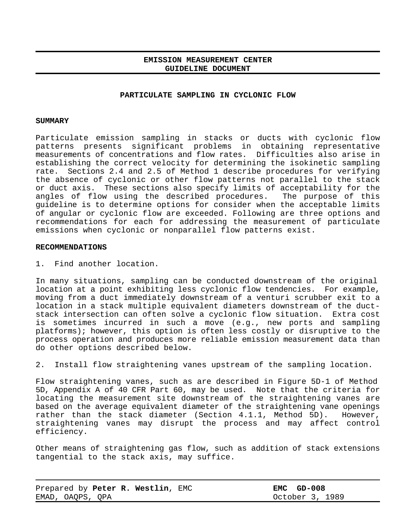# **EMISSION MEASUREMENT CENTER GUIDELINE DOCUMENT**

#### **PARTICULATE SAMPLING IN CYCLONIC FLOW**

### **SUMMARY**

Particulate emission sampling in stacks or ducts with cyclonic flow patterns presents significant problems in obtaining representative measurements of concentrations and flow rates. Difficulties also arise in establishing the correct velocity for determining the isokinetic sampling rate. Sections 2.4 and 2.5 of Method 1 describe procedures for verifying the absence of cyclonic or other flow patterns not parallel to the stack or duct axis. These sections also specify limits of acceptability for the angles of flow using the described procedures. The purpose of this guideline is to determine options for consider when the acceptable limits of angular or cyclonic flow are exceeded. Following are three options and recommendations for each for addressing the measurement of particulate emissions when cyclonic or nonparallel flow patterns exist.

#### **RECOMMENDATIONS**

1. Find another location.

In many situations, sampling can be conducted downstream of the original location at a point exhibiting less cyclonic flow tendencies. For example, moving from a duct immediately downstream of a venturi scrubber exit to a location in a stack multiple equivalent diameters downstream of the ductstack intersection can often solve a cyclonic flow situation. Extra cost is sometimes incurred in such a move (e.g., new ports and sampling platforms); however, this option is often less costly or disruptive to the process operation and produces more reliable emission measurement data than do other options described below.

2. Install flow straightening vanes upstream of the sampling location.

Flow straightening vanes, such as are described in Figure 5D-1 of Method 5D, Appendix A of 40 CFR Part 60, may be used. Note that the criteria for locating the measurement site downstream of the straightening vanes are based on the average equivalent diameter of the straightening vane openings rather than the stack diameter (Section 4.1.1, Method 5D). However, straightening vanes may disrupt the process and may affect control efficiency.

Other means of straightening gas flow, such as addition of stack extensions tangential to the stack axis, may suffice.

| Prepared by Peter R. Westlin, EMC | $EMC$ GD-008    |
|-----------------------------------|-----------------|
| EMAD, OAOPS, OPA                  | October 3, 1989 |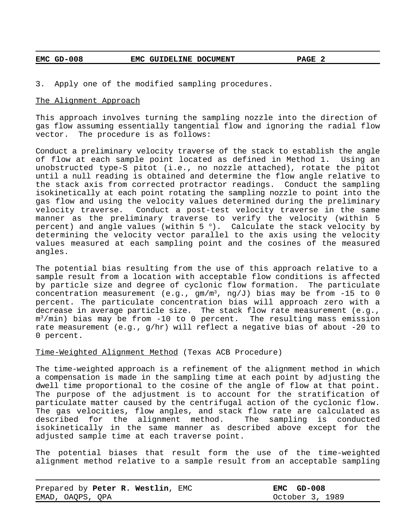# **EMC GD-008 EMC GUIDELINE DOCUMENT PAGE 2**

3. Apply one of the modified sampling procedures.

### The Alignment Approach

This approach involves turning the sampling nozzle into the direction of gas flow assuming essentially tangential flow and ignoring the radial flow vector. The procedure is as follows:

Conduct a preliminary velocity traverse of the stack to establish the angle of flow at each sample point located as defined in Method 1. Using an unobstructed type-S pitot (i.e., no nozzle attached), rotate the pitot until a null reading is obtained and determine the flow angle relative to the stack axis from corrected protractor readings. Conduct the sampling isokinetically at each point rotating the sampling nozzle to point into the gas flow and using the velocity values determined during the preliminary velocity traverse. Conduct a post-test velocity traverse in the same manner as the preliminary traverse to verify the velocity (within 5 percent) and angle values (within  $5^{\circ}$ ). Calculate the stack velocity by determining the velocity vector parallel to the axis using the velocity values measured at each sampling point and the cosines of the measured angles.

The potential bias resulting from the use of this approach relative to a sample result from a location with acceptable flow conditions is affected by particle size and degree of cyclonic flow formation. The particulate concentration measurement (e.g.,  $gm/m^3$ , ng/J) bias may be from -15 to 0 percent. The particulate concentration bias will approach zero with a decrease in average particle size. The stack flow rate measurement (e.g.,  $\mathfrak{m}^3/\mathfrak{min}$ ) bias may be from -10 to 0 percent. The resulting mass emission rate measurement (e.g., g/hr) will reflect a negative bias of about -20 to 0 percent.

### Time-Weighted Alignment Method (Texas ACB Procedure)

The time-weighted approach is a refinement of the alignment method in which a compensation is made in the sampling time at each point by adjusting the dwell time proportional to the cosine of the angle of flow at that point. The purpose of the adjustment is to account for the stratification of particulate matter caused by the centrifugal action of the cyclonic flow. The gas velocities, flow angles, and stack flow rate are calculated as described for the alignment method. The sampling is conducted isokinetically in the same manner as described above except for the adjusted sample time at each traverse point.

The potential biases that result form the use of the time-weighted alignment method relative to a sample result from an acceptable sampling

| Prepared by Peter R. Westlin, EMC | EMC GD-008      |
|-----------------------------------|-----------------|
| EMAD, OAOPS, OPA                  | October 3, 1989 |